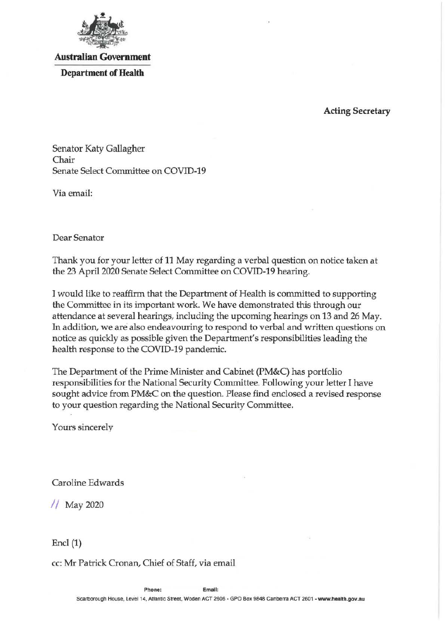

# **Australian Government**

**Department of Health** 

# **Acting Secretary**

Senator Katy Gallagher Chair Senate Select Committee on COVID-19

Via email:

Dear Senator

Thank you for your letter of 11 May regarding a verbal question on notice taken at the 23 April 2020 Senate Select Committee on COVID-19 hearing.

I would like to reaffirm that the Department of Health is committed to supporting the Committee in its important work. We have demonstrated this through our attendance at several hearings, including the upcoming hearings on 13 and 26 May. In addition, we are also endeavouring to respond to verbal and written questions on notice as quickly as possible given the Department's responsibilities leading the health response to the COVID-19 pandemic.

The Department of the Prime Minister and Cabinet (PM&C) has portfolio responsibilities for the National Security Committee. Following your letter I have sought advice from PM&C on the question. Please find enclosed a revised response to your question regarding the National Security Committee.

Yours sincerely

Caroline Edwards

// May 2020

Encl **(1)** 

cc: Mr Patrick Cronan, Chief of Staff, via email